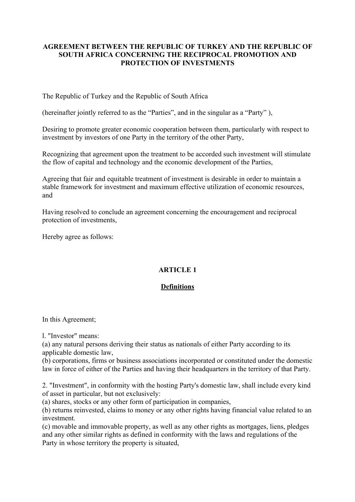## **AGREEMENT BETWEEN THE REPUBLIC OF TURKEY AND THE REPUBLIC OF SOUTH AFRICA CONCERNING THE RECIPROCAL PROMOTION AND PROTECTION OF INVESTMENTS**

The Republic of Turkey and the Republic of South Africa

(hereinafter jointly referred to as the "Parties", and in the singular as a "Party" ),

Desiring to promote greater economic cooperation between them, particularly with respect to investment by investors of one Party in the territory of the other Party,

Recognizing that agreement upon the treatment to be accorded such investment will stimulate the flow of capital and technology and the economic development of the Parties,

Agreeing that fair and equitable treatment of investment is desirable in order to maintain a stable framework for investment and maximum effective utilization of economic resources, and

Having resolved to conclude an agreement concerning the encouragement and reciprocal protection of investments,

Hereby agree as follows:

# **ARTICLE 1**

## **Definitions**

In this Agreement;

l. "Investor" means:

(a) any natural persons deriving their status as nationals of either Party according to its applicable domestic law,

(b) corporations, firms or business associations incorporated or constituted under the domestic law in force of either of the Parties and having their headquarters in the territory of that Party.

2. "Investment", in conformity with the hosting Party's domestic law, shall include every kind of asset in particular, but not exclusively:

(a) shares, stocks or any other form of participation in companies,

(b) returns reinvested, claims to money or any other rights having financial value related to an investment.

(c) movable and immovable property, as well as any other rights as mortgages, liens, pledges and any other similar rights as defined in conformity with the laws and regulations of the Party in whose territory the property is situated,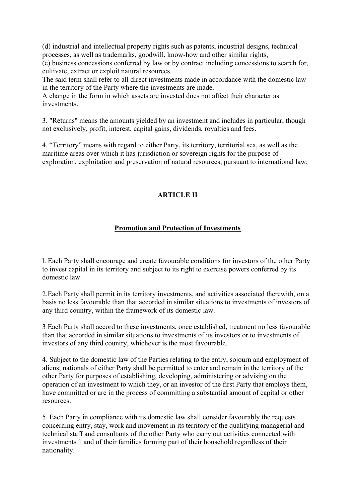(d) industrial and intellectual property rights such as patents, industrial designs, technical processes, as well as trademarks, goodwill, know-how and other similar rights, (e) business concessions conferred by law or by contract including concessions to search for, cultivate, extract or exploit natural resources.

The said term shall refer to all direct investments made in accordance with the domestic law in the territory of the Party where the investments are made.

A change in the form in which assets are invested does not affect their character as investments.

3. "Returns" means the amounts yielded by an investment and includes in particular, though not exclusively, profit, interest, capital gains, dividends, royalties and fees.

4. "Territory" means with regard to either Party, its territory, territorial sea, as well as the maritime areas over which it has jurisdiction or sovereign rights for the purpose of exploration, exploitation and preservation of natural resources, pursuant to international law;

## **ARTICLE II**

## **Promotion and Protection of Investments**

l. Each Party shall encourage and create favourable conditions for investors of the other Party to invest capital in its territory and subject to its right to exercise powers conferred by its domestic law.

2.Each Party shall permit in its territory investments, and activities associated therewith, on a basis no less favourable than that accorded in similar situations to investments of investors of any third country, within the framework of its domestic law.

3 Each Party shall accord to these investments, once established, treatment no less favourable than that accorded in similar situations to investments of its investors or to investments of investors of any third country, whichever is the most favourable.

4. Subject to the domestic law of the Parties relating to the entry, sojourn and employment of aliens; nationals of either Party shall be permitted to enter and remain in the territory of the other Party for purposes of establishing, developing, administering or advising on the operation of an investment to which they, or an investor of the first Party that employs them, have committed or are in the process of committing a substantial amount of capital or other resources.

5. Each Party in compliance with its domestic law shall consider favourably the requests concerning entry, stay, work and movement in its territory of the qualifying managerial and technical staff and consultants of the other Party who carry out activities connected with investments 1 and of their families forming part of their household regardless of their nationality.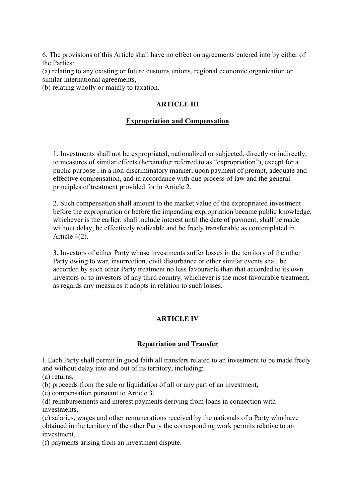6. The provisions of this Article shall have no effect on agreements entered into by either of the Parties:

(a) relating to any existing or future customs unions, regional economic organization or similar international agreements,

(b) relating wholly or mainly to taxation.

## **ARTICLE III**

## **Expropriation and Compensation**

1. Investments shall not be expropriated, nationalized or subjected, directly or indirectly, to measures of similar effects (hereinafter referred to as "expropriation"), except for a public purpose , in a non-discriminatory manner, upon payment of prompt, adequate and effective compensation, and in accordance with due process of law and the general principles of treatment provided for in Article 2.

2. Such compensation shall amount to the market value of the expropriated investment before the expropriation or before the impending expropriation became public knowledge, whichever is the earlier, shall include interest until the date of payment, shall be made without delay, be effectively realizable and be freely transferable as contemplated in Article 4(2).

3. Investors of either Party whose investments suffer losses in the territory of the other Party owing to war, insurrection, civil disturbance or other similar events shall be accorded by such other Party treatment no less favourable than that accorded to its own investors or to investors of any third country*,* whichever is the most favourable treatment, as regards any measures it adopts in relation to such losses.

## **ARTICLE IV**

### **Repatriation and Transfer**

l. Each Party shall permit in good faith all transfers related to an investment to be made freely and without delay into and out of its territory, including:

(a) returns,

(b) proceeds from the sale or liquidation of all or any part of an investment,

(c) compensation pursuant to Article 3,

(d) reimbursements and interest payments deriving from loans in connection with investments,

(e) salaries, wages and other remunerations received by the nationals of a Party who have obtained in the territory of the other Party the corresponding work permits relative to an investment,

(f) payments arising from an investment dispute.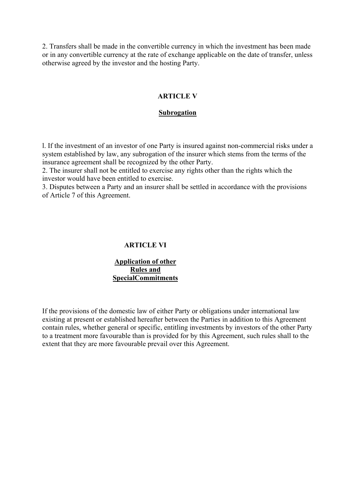2. Transfers shall be made in the convertible currency in which the investment has been made or in any convertible currency at the rate of exchange applicable on the date of transfer, unless otherwise agreed by the investor and the hosting Party.

## **ARTICLE V**

#### **Subrogation**

l. If the investment of an investor of one Party is insured against non-commercial risks under a system established by law, any subrogation of the insurer which stems from the terms of the insurance agreement shall be recognized by the other Party.

2. The insurer shall not be entitled to exercise any rights other than the rights which the investor would have been entitled to exercise.

3. Disputes between a Party and an insurer shall be settled in accordance with the provisions of Article 7 of this Agreement.

### **ARTICLE VI**

#### **Application of other Rules and SpecialCommitments**

If the provisions of the domestic law of either Party or obligations under international law existing at present or established hereafter between the Parties in addition to this Agreement contain rules, whether general or specific, entitling investments by investors of the other Party to a treatment more favourable than is provided for by this Agreement, such rules shall to the extent that they are more favourable prevail over this Agreement.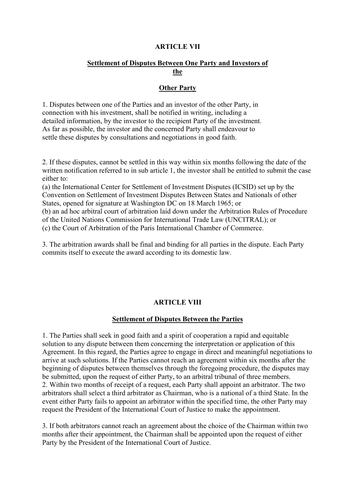#### **ARTICLE VII**

## **Settlement of Disputes Between One Party and Investors of the**

#### **Other Party**

1. Disputes between one of the Parties and an investor of the other Party, in connection with his investment, shall be notified in writing, including a detailed information, by the investor to the recipient Party of the investment. As far as possible, the investor and the concerned Party shall endeavour to settle these disputes by consultations and negotiations in good faith.

2. If these disputes, cannot be settled in this way within six months following the date of the written notification referred to in sub article 1, the investor shall be entitled to submit the case either to:

(a) the International Center for Settlement of Investment Disputes (ICSID) set up by the Convention on Settlement of Investment Disputes Between States and Nationals of other States, opened for signature at Washington DC on 18 March 1965; or

(b) an ad hoc arbitral court of arbitration laid down under the Arbitration Rules of Procedure of the United Nations Commission for International Trade Law (UNCITRAL); or (c) the Court of Arbitration of the Paris International Chamber of Commerce.

3. The arbitration awards shall be final and binding for all parties in the dispute. Each Party commits itself to execute the award according to its domestic law.

#### **ARTICLE VIII**

#### **Settlement of Disputes Between the Parties**

1. The Parties shall seek in good faith and a spirit of cooperation a rapid and equitable solution to any dispute between them concerning the interpretation or application of this Agreement. In this regard, the Parties agree to engage in direct and meaningful negotiations to arrive at such solutions. If the Parties cannot reach an agreement within six months after the beginning of disputes between themselves through the foregoing procedure, the disputes may be submitted, upon the request of either Party, to an arbitral tribunal of three members. 2. Within two months of receipt of a request, each Party shall appoint an arbitrator. The two arbitrators shall select a third arbitrator as Chairman, who is a national of a third State. In the event either Party fails to appoint an arbitrator within the specified time, the other Party may request the President of the International Court of Justice to make the appointment.

3. If both arbitrators cannot reach an agreement about the choice of the Chairman within two months after their appointment, the Chairman shall be appointed upon the request of either Party by the President of the International Court of Justice.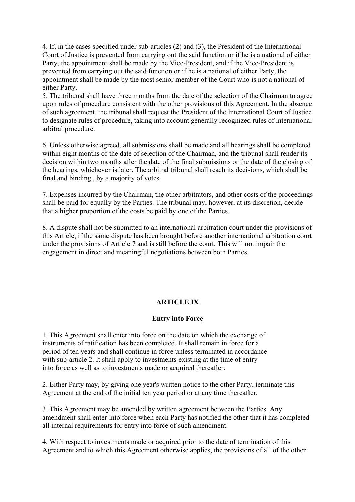4. If, in the cases specified under sub-articles (2) and (3), the President of the International Court of Justice is prevented from carrying out the said function or if he is a national of either Party, the appointment shall be made by the Vice-President, and if the Vice-President is prevented from carrying out the said function or if he is a national of either Party, the appointment shall be made by the most senior member of the Court who is not a national of either Party.

5. The tribunal shall have three months from the date of the selection of the Chairman to agree upon rules of procedure consistent with the other provisions of this Agreement. In the absence of such agreement, the tribunal shall request the President of the International Court of Justice to designate rules of procedure, taking into account generally recognized rules of international arbitral procedure.

6. Unless otherwise agreed, all submissions shall be made and all hearings shall be completed within eight months of the date of selection of the Chairman, and the tribunal shall render its decision within two months after the date of the final submissions or the date of the closing of the hearings, whichever is later. The arbitral tribunal shall reach its decisions, which shall be final and binding , by a majority of votes.

7. Expenses incurred by the Chairman, the other arbitrators, and other costs of the proceedings shall be paid for equally by the Parties. The tribunal may, however, at its discretion, decide that a higher proportion of the costs be paid by one of the Parties.

8. A dispute shall not be submitted to an international arbitration court under the provisions of this Article, if the same dispute has been brought before another international arbitration court under the provisions of Article 7 and is still before the court. This will not impair the engagement in direct and meaningful negotiations between both Parties.

## **ARTICLE IX**

### **Entry into Force**

1. This Agreement shall enter into force on the date on which the exchange of instruments of ratification has been completed. It shall remain in force for a period of ten years and shall continue in force unless terminated in accordance with sub-article 2. It shall apply to investments existing at the time of entry into force as well as to investments made or acquired thereafter.

2. Either Party may, by giving one year's written notice to the other Party, terminate this Agreement at the end of the initial ten year period or at any time thereafter.

3. This Agreement may be amended by written agreement between the Parties. Any amendment shall enter into force when each Party has notified the other that it has completed all internal requirements for entry into force of such amendment.

4. With respect to investments made or acquired prior to the date of termination of this Agreement and to which this Agreement otherwise applies, the provisions of all of the other